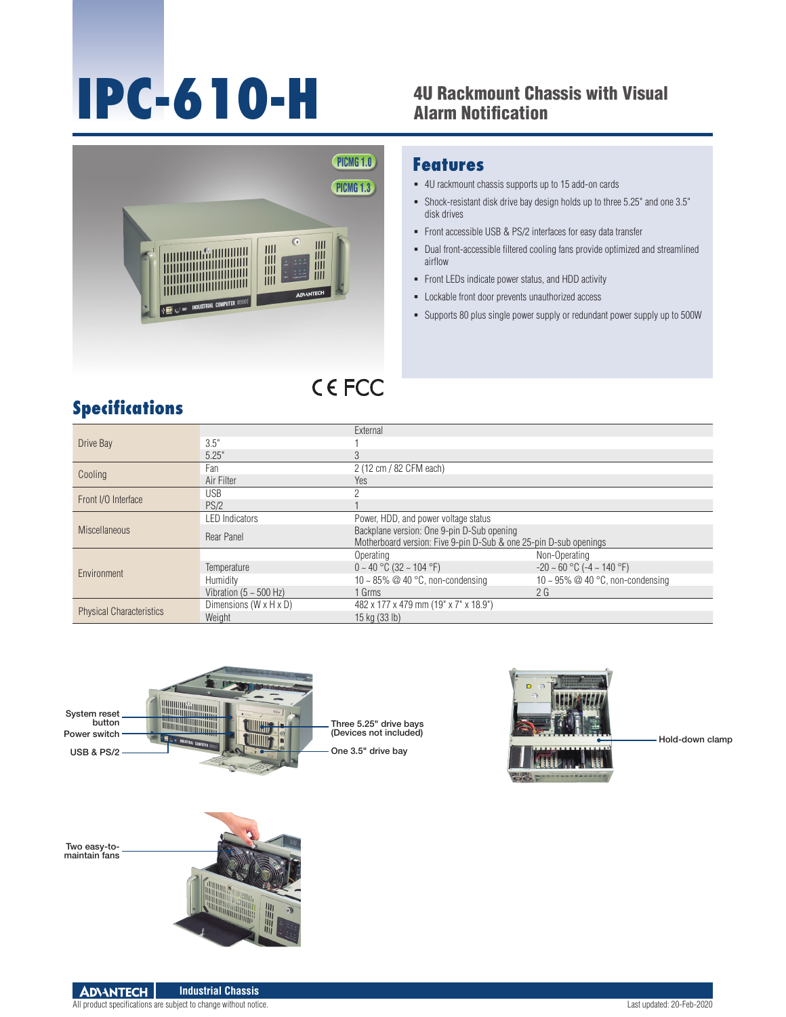# **IPC-610-H** <sup>4U Rackmount Chassis with Visual</sup>

## Alarm Notification



#### **Features**

- 4U rackmount chassis supports up to 15 add-on cards
- Shock-resistant disk drive bay design holds up to three 5.25" and one 3.5" disk drives
- Front accessible USB & PS/2 interfaces for easy data transfer
- Dual front-accessible filtered cooling fans provide optimized and streamlined airflow
- **Front LEDs indicate power status, and HDD activity**
- Lockable front door prevents unauthorized access
- Supports 80 plus single power supply or redundant power supply up to 500W

### **CEFCC**

#### **Specifications**

| Drive Bay                       |                                    | External                                                          |                                      |
|---------------------------------|------------------------------------|-------------------------------------------------------------------|--------------------------------------|
|                                 | 3.5"                               |                                                                   |                                      |
|                                 | 5.25"                              | $\mathfrak{Z}$                                                    |                                      |
| Cooling                         | Fan                                | 2 (12 cm / 82 CFM each)                                           |                                      |
|                                 | Air Filter                         | Yes                                                               |                                      |
| Front I/O Interface             | <b>USB</b>                         |                                                                   |                                      |
|                                 | PS/2                               |                                                                   |                                      |
| <b>Miscellaneous</b>            | <b>LED Indicators</b>              | Power, HDD, and power voltage status                              |                                      |
|                                 | Rear Panel                         | Backplane version: One 9-pin D-Sub opening                        |                                      |
|                                 |                                    | Motherboard version: Five 9-pin D-Sub & one 25-pin D-sub openings |                                      |
| Environment                     |                                    | Operating                                                         | Non-Operating                        |
|                                 | Temperature                        | $0 \sim 40$ °C (32 ~ 104 °F)                                      | $-20 \sim 60$ °C ( $-4 \sim 140$ °F) |
|                                 | Humidity                           | 10 ~ 85% $@$ 40 °C, non-condensing                                | 10 ~ 95% $@$ 40 °C, non-condensing   |
|                                 | Vibration ( $5 \sim 500$ Hz)       | 1 Grms                                                            | 2G                                   |
| <b>Physical Characteristics</b> | Dimensions $(W \times H \times D)$ | 482 x 177 x 479 mm (19" x 7" x 18.9")                             |                                      |
|                                 | Weight                             | 15 kg (33 lb)                                                     |                                      |







All product specifications are subject to change without notice. Last updated: 20-Feb-2020